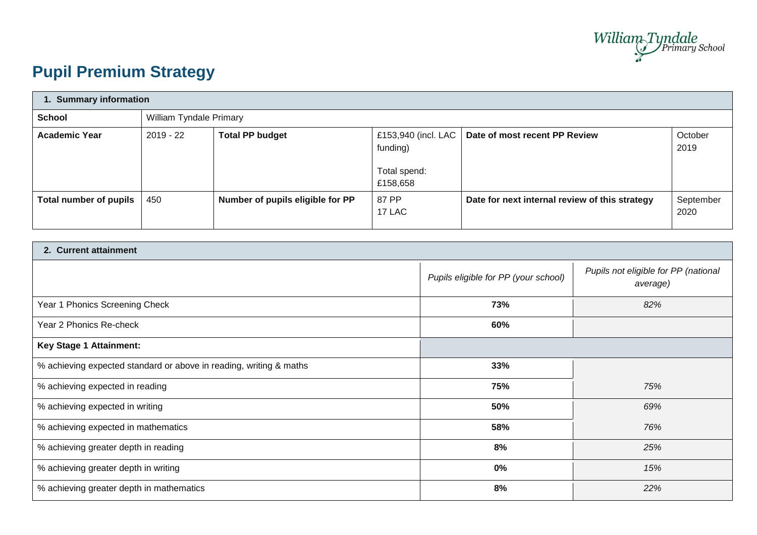

# **Pupil Premium Strategy**

| 1. Summary information |             |                                  |                                                             |                                                |                   |  |  |
|------------------------|-------------|----------------------------------|-------------------------------------------------------------|------------------------------------------------|-------------------|--|--|
| <b>School</b>          |             | William Tyndale Primary          |                                                             |                                                |                   |  |  |
| <b>Academic Year</b>   | $2019 - 22$ | <b>Total PP budget</b>           | £153,940 (incl. LAC<br>funding)<br>Total spend:<br>£158,658 | Date of most recent PP Review                  | October<br>2019   |  |  |
| Total number of pupils | 450         | Number of pupils eligible for PP | 87 PP<br>17 LAC                                             | Date for next internal review of this strategy | September<br>2020 |  |  |

| 2. Current attainment                                              |                                      |                                                  |  |  |
|--------------------------------------------------------------------|--------------------------------------|--------------------------------------------------|--|--|
|                                                                    | Pupils eligible for PP (your school) | Pupils not eligible for PP (national<br>average) |  |  |
| Year 1 Phonics Screening Check                                     | 73%                                  | 82%                                              |  |  |
| Year 2 Phonics Re-check                                            | 60%                                  |                                                  |  |  |
| <b>Key Stage 1 Attainment:</b>                                     |                                      |                                                  |  |  |
| % achieving expected standard or above in reading, writing & maths | 33%                                  |                                                  |  |  |
| % achieving expected in reading                                    | 75%                                  | 75%                                              |  |  |
| % achieving expected in writing                                    | 50%                                  | 69%                                              |  |  |
| % achieving expected in mathematics                                | 58%                                  | 76%                                              |  |  |
| % achieving greater depth in reading                               | 8%                                   | 25%                                              |  |  |
| % achieving greater depth in writing                               | $0\%$                                | 15%                                              |  |  |
| % achieving greater depth in mathematics                           | 8%                                   | 22%                                              |  |  |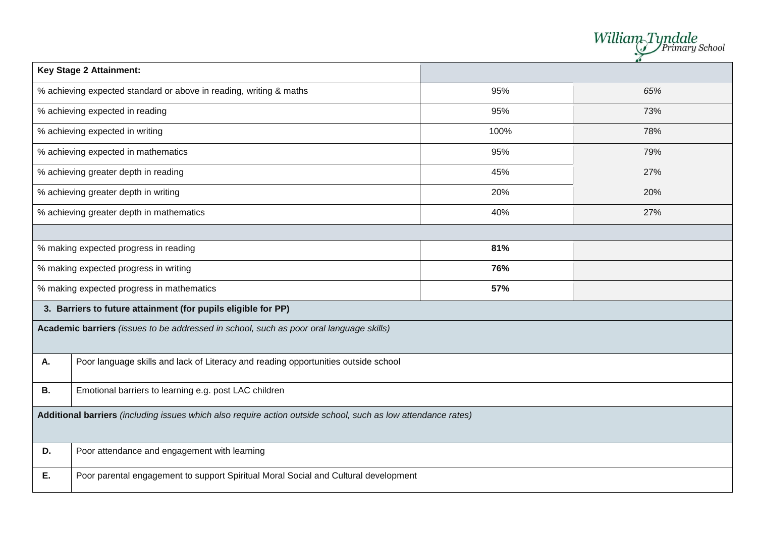|                                                    |                                                                                                               |      | William <sub>-Tyndale</sub><br>Primary School |  |  |
|----------------------------------------------------|---------------------------------------------------------------------------------------------------------------|------|-----------------------------------------------|--|--|
|                                                    | <b>Key Stage 2 Attainment:</b>                                                                                |      |                                               |  |  |
|                                                    | % achieving expected standard or above in reading, writing & maths                                            | 95%  | 65%                                           |  |  |
|                                                    | % achieving expected in reading                                                                               | 95%  | 73%                                           |  |  |
|                                                    | % achieving expected in writing                                                                               | 100% | 78%                                           |  |  |
|                                                    | % achieving expected in mathematics                                                                           | 95%  | 79%                                           |  |  |
|                                                    | % achieving greater depth in reading                                                                          | 45%  | 27%                                           |  |  |
|                                                    | % achieving greater depth in writing                                                                          | 20%  | 20%                                           |  |  |
|                                                    | % achieving greater depth in mathematics                                                                      | 40%  | 27%                                           |  |  |
|                                                    |                                                                                                               |      |                                               |  |  |
|                                                    | % making expected progress in reading                                                                         | 81%  |                                               |  |  |
|                                                    | % making expected progress in writing                                                                         | 76%  |                                               |  |  |
|                                                    | % making expected progress in mathematics                                                                     | 57%  |                                               |  |  |
|                                                    | 3. Barriers to future attainment (for pupils eligible for PP)                                                 |      |                                               |  |  |
|                                                    | Academic barriers (issues to be addressed in school, such as poor oral language skills)                       |      |                                               |  |  |
| А.                                                 | Poor language skills and lack of Literacy and reading opportunities outside school                            |      |                                               |  |  |
| В.                                                 | Emotional barriers to learning e.g. post LAC children                                                         |      |                                               |  |  |
|                                                    | Additional barriers (including issues which also require action outside school, such as low attendance rates) |      |                                               |  |  |
| Poor attendance and engagement with learning<br>D. |                                                                                                               |      |                                               |  |  |
| Е.                                                 | Poor parental engagement to support Spiritual Moral Social and Cultural development                           |      |                                               |  |  |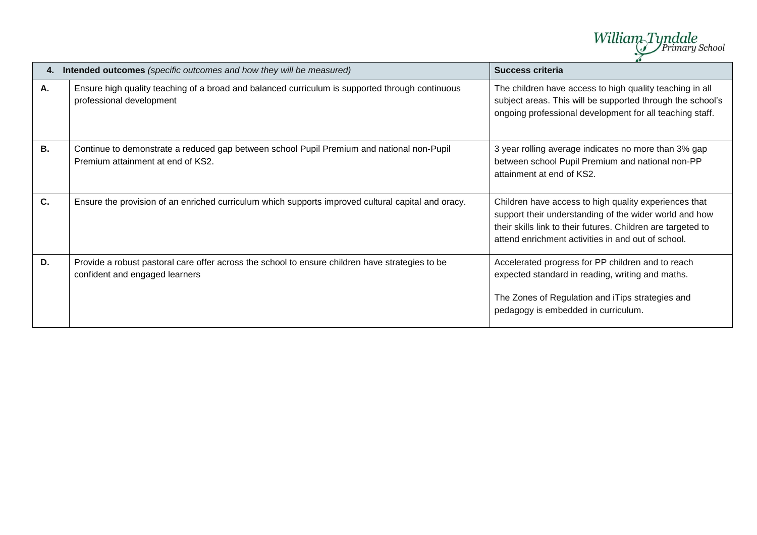

| 4. | Intended outcomes (specific outcomes and how they will be measured)                                                               | <b>Success criteria</b>                                                                                                                                                                                                               |
|----|-----------------------------------------------------------------------------------------------------------------------------------|---------------------------------------------------------------------------------------------------------------------------------------------------------------------------------------------------------------------------------------|
| Α. | Ensure high quality teaching of a broad and balanced curriculum is supported through continuous<br>professional development       | The children have access to high quality teaching in all<br>subject areas. This will be supported through the school's<br>ongoing professional development for all teaching staff.                                                    |
| В. | Continue to demonstrate a reduced gap between school Pupil Premium and national non-Pupil<br>Premium attainment at end of KS2.    | 3 year rolling average indicates no more than 3% gap<br>between school Pupil Premium and national non-PP<br>attainment at end of KS2.                                                                                                 |
| C. | Ensure the provision of an enriched curriculum which supports improved cultural capital and oracy.                                | Children have access to high quality experiences that<br>support their understanding of the wider world and how<br>their skills link to their futures. Children are targeted to<br>attend enrichment activities in and out of school. |
| D. | Provide a robust pastoral care offer across the school to ensure children have strategies to be<br>confident and engaged learners | Accelerated progress for PP children and to reach<br>expected standard in reading, writing and maths.<br>The Zones of Regulation and iTips strategies and<br>pedagogy is embedded in curriculum.                                      |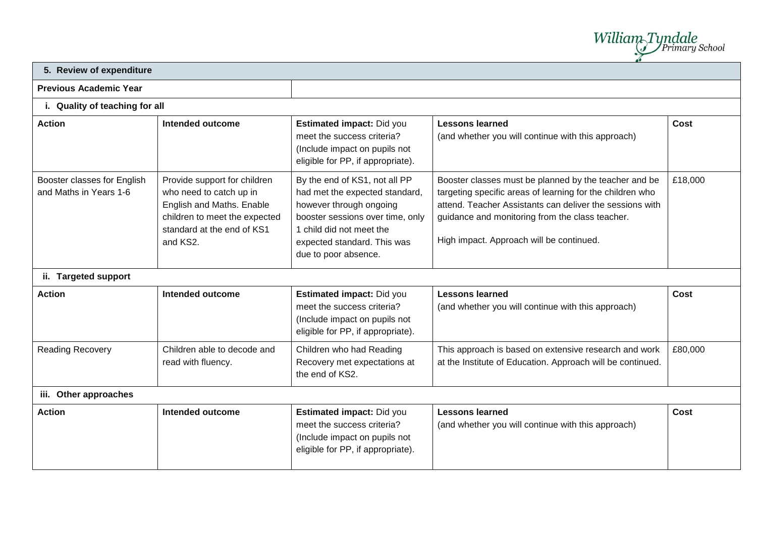William Tyndale

## **5. Review of expenditure**

### **Previous Academic Year**

#### **i. Quality of teaching for all**

| <b>Action</b>                                         | Intended outcome                                                                                                                                                | <b>Estimated impact: Did you</b><br>meet the success criteria?<br>(Include impact on pupils not<br>eligible for PP, if appropriate).                                                                              | <b>Lessons learned</b><br>(and whether you will continue with this approach)                                                                                                                                                                                                  | Cost    |  |  |  |  |
|-------------------------------------------------------|-----------------------------------------------------------------------------------------------------------------------------------------------------------------|-------------------------------------------------------------------------------------------------------------------------------------------------------------------------------------------------------------------|-------------------------------------------------------------------------------------------------------------------------------------------------------------------------------------------------------------------------------------------------------------------------------|---------|--|--|--|--|
| Booster classes for English<br>and Maths in Years 1-6 | Provide support for children<br>who need to catch up in<br>English and Maths. Enable<br>children to meet the expected<br>standard at the end of KS1<br>and KS2. | By the end of KS1, not all PP<br>had met the expected standard,<br>however through ongoing<br>booster sessions over time, only<br>1 child did not meet the<br>expected standard. This was<br>due to poor absence. | Booster classes must be planned by the teacher and be<br>targeting specific areas of learning for the children who<br>attend. Teacher Assistants can deliver the sessions with<br>guidance and monitoring from the class teacher.<br>High impact. Approach will be continued. | £18,000 |  |  |  |  |
| ii. Targeted support                                  |                                                                                                                                                                 |                                                                                                                                                                                                                   |                                                                                                                                                                                                                                                                               |         |  |  |  |  |
| <b>Action</b>                                         | <b>Intended outcome</b>                                                                                                                                         | Estimated impact: Did you<br>meet the success criteria?<br>(Include impact on pupils not<br>eligible for PP, if appropriate).                                                                                     | <b>Lessons learned</b><br>(and whether you will continue with this approach)                                                                                                                                                                                                  | Cost    |  |  |  |  |
| <b>Reading Recovery</b>                               | Children able to decode and<br>read with fluency.                                                                                                               | Children who had Reading<br>Recovery met expectations at<br>the end of KS2.                                                                                                                                       | This approach is based on extensive research and work<br>at the Institute of Education. Approach will be continued.                                                                                                                                                           | £80,000 |  |  |  |  |
| iii. Other approaches                                 |                                                                                                                                                                 |                                                                                                                                                                                                                   |                                                                                                                                                                                                                                                                               |         |  |  |  |  |

#### **Action Intended outcome Estimated impact:** Did you meet the success criteria? (Include impact on pupils not eligible for PP, if appropriate). **Lessons learned**  (and whether you will continue with this approach) **Cost**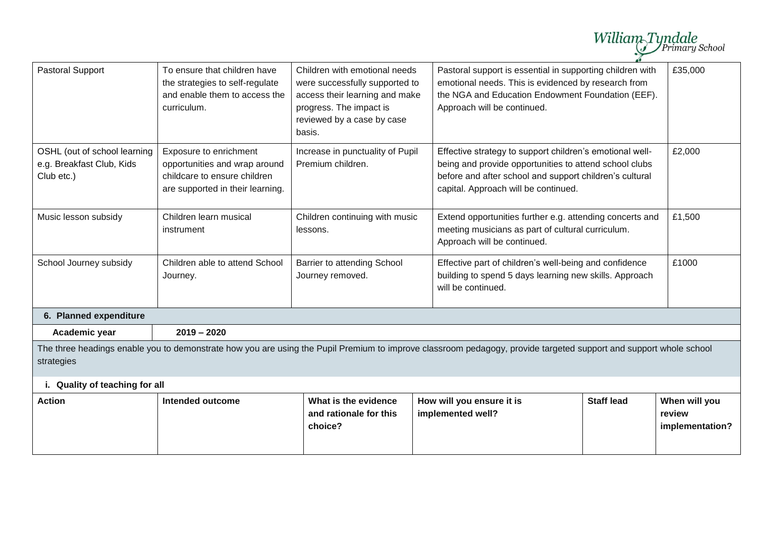|                                                                                                                                                                                 |                                                                                                                             |                                                                                                                                                                      |                                                                                                                                                                                                                       |                                                                                                                  | William Tyndale                            |  |
|---------------------------------------------------------------------------------------------------------------------------------------------------------------------------------|-----------------------------------------------------------------------------------------------------------------------------|----------------------------------------------------------------------------------------------------------------------------------------------------------------------|-----------------------------------------------------------------------------------------------------------------------------------------------------------------------------------------------------------------------|------------------------------------------------------------------------------------------------------------------|--------------------------------------------|--|
| <b>Pastoral Support</b>                                                                                                                                                         | To ensure that children have<br>the strategies to self-regulate<br>and enable them to access the<br>curriculum.             | Children with emotional needs<br>were successfully supported to<br>access their learning and make<br>progress. The impact is<br>reviewed by a case by case<br>basis. | Pastoral support is essential in supporting children with<br>emotional needs. This is evidenced by research from<br>the NGA and Education Endowment Foundation (EEF).<br>Approach will be continued.                  |                                                                                                                  | £35,000                                    |  |
| OSHL (out of school learning<br>e.g. Breakfast Club, Kids<br>Club etc.)                                                                                                         | Exposure to enrichment<br>opportunities and wrap around<br>childcare to ensure children<br>are supported in their learning. | Increase in punctuality of Pupil<br>Premium children.                                                                                                                | Effective strategy to support children's emotional well-<br>being and provide opportunities to attend school clubs<br>before and after school and support children's cultural<br>capital. Approach will be continued. |                                                                                                                  | £2,000                                     |  |
| Music lesson subsidy                                                                                                                                                            | Children learn musical<br>instrument                                                                                        | Children continuing with music<br>lessons.                                                                                                                           | Approach will be continued.                                                                                                                                                                                           | Extend opportunities further e.g. attending concerts and<br>meeting musicians as part of cultural curriculum.    |                                            |  |
| School Journey subsidy                                                                                                                                                          | Children able to attend School<br>Journey.                                                                                  | Barrier to attending School<br>Journey removed.                                                                                                                      | will be continued.                                                                                                                                                                                                    | Effective part of children's well-being and confidence<br>building to spend 5 days learning new skills. Approach |                                            |  |
| 6. Planned expenditure                                                                                                                                                          |                                                                                                                             |                                                                                                                                                                      |                                                                                                                                                                                                                       |                                                                                                                  |                                            |  |
| Academic year                                                                                                                                                                   | $2019 - 2020$                                                                                                               |                                                                                                                                                                      |                                                                                                                                                                                                                       |                                                                                                                  |                                            |  |
| The three headings enable you to demonstrate how you are using the Pupil Premium to improve classroom pedagogy, provide targeted support and support whole school<br>strategies |                                                                                                                             |                                                                                                                                                                      |                                                                                                                                                                                                                       |                                                                                                                  |                                            |  |
| i. Quality of teaching for all                                                                                                                                                  |                                                                                                                             |                                                                                                                                                                      |                                                                                                                                                                                                                       |                                                                                                                  |                                            |  |
| <b>Action</b>                                                                                                                                                                   | <b>Intended outcome</b>                                                                                                     | What is the evidence<br>and rationale for this<br>choice?                                                                                                            | How will you ensure it is<br>implemented well?                                                                                                                                                                        | <b>Staff lead</b>                                                                                                | When will you<br>review<br>implementation? |  |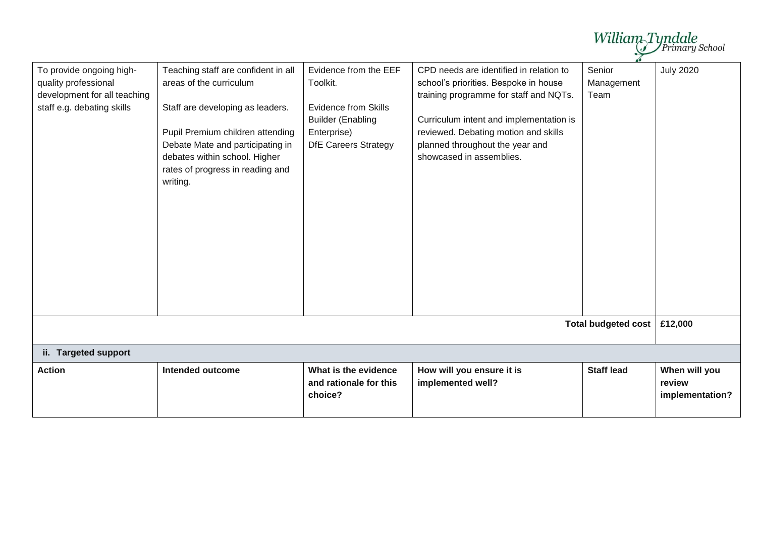|                                                                                                                |                                                                                                                                                                                                                                                             |                                                                                                                                            |                                                                                                                                                                                                                                                                              |                              | William Tyndale                            |
|----------------------------------------------------------------------------------------------------------------|-------------------------------------------------------------------------------------------------------------------------------------------------------------------------------------------------------------------------------------------------------------|--------------------------------------------------------------------------------------------------------------------------------------------|------------------------------------------------------------------------------------------------------------------------------------------------------------------------------------------------------------------------------------------------------------------------------|------------------------------|--------------------------------------------|
| To provide ongoing high-<br>quality professional<br>development for all teaching<br>staff e.g. debating skills | Teaching staff are confident in all<br>areas of the curriculum<br>Staff are developing as leaders.<br>Pupil Premium children attending<br>Debate Mate and participating in<br>debates within school. Higher<br>rates of progress in reading and<br>writing. | Evidence from the EEF<br>Toolkit.<br><b>Evidence from Skills</b><br><b>Builder (Enabling</b><br>Enterprise)<br><b>DfE Careers Strategy</b> | CPD needs are identified in relation to<br>school's priorities. Bespoke in house<br>training programme for staff and NQTs.<br>Curriculum intent and implementation is<br>reviewed. Debating motion and skills<br>planned throughout the year and<br>showcased in assemblies. | Senior<br>Management<br>Team | <b>July 2020</b>                           |
|                                                                                                                |                                                                                                                                                                                                                                                             |                                                                                                                                            |                                                                                                                                                                                                                                                                              | <b>Total budgeted cost</b>   | £12,000                                    |
| ii. Targeted support                                                                                           |                                                                                                                                                                                                                                                             |                                                                                                                                            |                                                                                                                                                                                                                                                                              |                              |                                            |
| <b>Action</b>                                                                                                  | Intended outcome                                                                                                                                                                                                                                            | What is the evidence<br>and rationale for this<br>choice?                                                                                  | How will you ensure it is<br>implemented well?                                                                                                                                                                                                                               | <b>Staff lead</b>            | When will you<br>review<br>implementation? |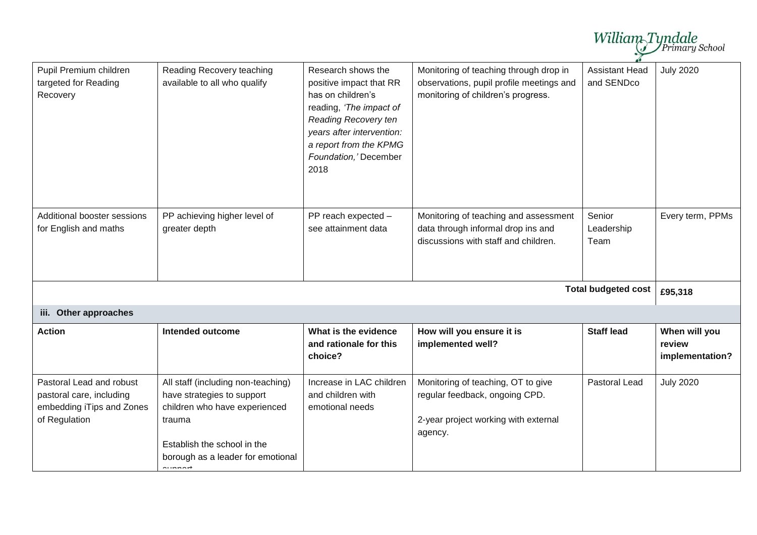|                                                                                                    |                                                                                                                                                                                                     |                                                                                                                                                                                                                      |                                                                                                                          | William <sub>-Tyndale</sub>         | Primary School                             |
|----------------------------------------------------------------------------------------------------|-----------------------------------------------------------------------------------------------------------------------------------------------------------------------------------------------------|----------------------------------------------------------------------------------------------------------------------------------------------------------------------------------------------------------------------|--------------------------------------------------------------------------------------------------------------------------|-------------------------------------|--------------------------------------------|
| Pupil Premium children<br>targeted for Reading<br>Recovery                                         | Reading Recovery teaching<br>available to all who qualify                                                                                                                                           | Research shows the<br>positive impact that RR<br>has on children's<br>reading, 'The impact of<br><b>Reading Recovery ten</b><br>years after intervention:<br>a report from the KPMG<br>Foundation,' December<br>2018 | Monitoring of teaching through drop in<br>observations, pupil profile meetings and<br>monitoring of children's progress. | <b>Assistant Head</b><br>and SENDco | <b>July 2020</b>                           |
| Additional booster sessions<br>for English and maths                                               | PP achieving higher level of<br>greater depth                                                                                                                                                       | PP reach expected -<br>see attainment data                                                                                                                                                                           | Monitoring of teaching and assessment<br>data through informal drop ins and<br>discussions with staff and children.      | Senior<br>Leadership<br>Team        | Every term, PPMs                           |
|                                                                                                    |                                                                                                                                                                                                     |                                                                                                                                                                                                                      |                                                                                                                          | <b>Total budgeted cost</b>          | £95,318                                    |
| iii. Other approaches                                                                              |                                                                                                                                                                                                     |                                                                                                                                                                                                                      |                                                                                                                          |                                     |                                            |
| <b>Action</b>                                                                                      | <b>Intended outcome</b>                                                                                                                                                                             | What is the evidence<br>and rationale for this<br>choice?                                                                                                                                                            | How will you ensure it is<br>implemented well?                                                                           | <b>Staff lead</b>                   | When will you<br>review<br>implementation? |
| Pastoral Lead and robust<br>pastoral care, including<br>embedding iTips and Zones<br>of Regulation | All staff (including non-teaching)<br>have strategies to support<br>children who have experienced<br>trauma<br>Establish the school in the<br>borough as a leader for emotional<br>للمصاحب والمراوي | Increase in LAC children<br>and children with<br>emotional needs                                                                                                                                                     | Monitoring of teaching, OT to give<br>regular feedback, ongoing CPD.<br>2-year project working with external<br>agency.  | Pastoral Lead                       | <b>July 2020</b>                           |